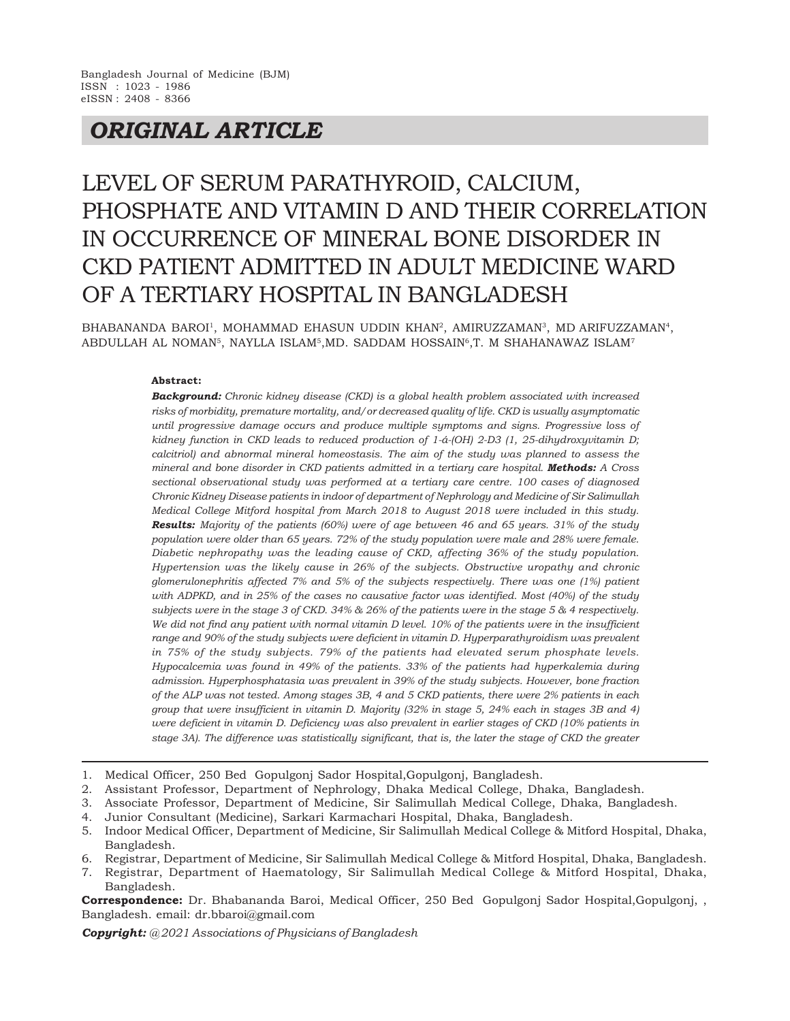## *ORIGINAL ARTICLE*

# LEVEL OF SERUM PARATHYROID, CALCIUM, PHOSPHATE AND VITAMIN D AND THEIR CORRELATION IN OCCURRENCE OF MINERAL BONE DISORDER IN CKD PATIENT ADMITTED IN ADULT MEDICINE WARD OF A TERTIARY HOSPITAL IN BANGLADESH

BHABANANDA BAROI', MOHAMMAD EHASUN UDDIN KHAN', AMIRUZZAMAN', MD ARIFUZZAMAN', ABDULLAH AL NOMAN<sup>5</sup>, NAYLLA ISLAM<sup>5</sup>,MD. SADDAM HOSSAIN<sup>6</sup>,T. M SHAHANAWAZ ISLAM<sup>7</sup>

#### **Abstract:**

*Background: Chronic kidney disease (CKD) is a global health problem associated with increased risks of morbidity, premature mortality, and/or decreased quality of life. CKD is usually asymptomatic until progressive damage occurs and produce multiple symptoms and signs. Progressive loss of kidney function in CKD leads to reduced production of 1-á-(OH) 2-D3 (1, 25-dihydroxyvitamin D; calcitriol) and abnormal mineral homeostasis. The aim of the study was planned to assess the mineral and bone disorder in CKD patients admitted in a tertiary care hospital. Methods: A Cross sectional observational study was performed at a tertiary care centre. 100 cases of diagnosed Chronic Kidney Disease patients in indoor of department of Nephrology and Medicine of Sir Salimullah Medical College Mitford hospital from March 2018 to August 2018 were included in this study. Results: Majority of the patients (60%) were of age between 46 and 65 years. 31% of the study population were older than 65 years. 72% of the study population were male and 28% were female. Diabetic nephropathy was the leading cause of CKD, affecting 36% of the study population. Hypertension was the likely cause in 26% of the subjects. Obstructive uropathy and chronic glomerulonephritis affected 7% and 5% of the subjects respectively. There was one (1%) patient with ADPKD, and in 25% of the cases no causative factor was identified. Most (40%) of the study subjects were in the stage 3 of CKD. 34% & 26% of the patients were in the stage 5 & 4 respectively. We did not find any patient with normal vitamin D level. 10% of the patients were in the insufficient range and 90% of the study subjects were deficient in vitamin D. Hyperparathyroidism was prevalent in 75% of the study subjects. 79% of the patients had elevated serum phosphate levels. Hypocalcemia was found in 49% of the patients. 33% of the patients had hyperkalemia during admission. Hyperphosphatasia was prevalent in 39% of the study subjects. However, bone fraction of the ALP was not tested. Among stages 3B, 4 and 5 CKD patients, there were 2% patients in each group that were insufficient in vitamin D. Majority (32% in stage 5, 24% each in stages 3B and 4) were deficient in vitamin D. Deficiency was also prevalent in earlier stages of CKD (10% patients in stage 3A). The difference was statistically significant, that is, the later the stage of CKD the greater*

- 1. Medical Officer, 250 Bed Gopulgonj Sador Hospital,Gopulgonj, Bangladesh.
- 2. Assistant Professor, Department of Nephrology, Dhaka Medical College, Dhaka, Bangladesh.
- 3. Associate Professor, Department of Medicine, Sir Salimullah Medical College, Dhaka, Bangladesh.
- 4. Junior Consultant (Medicine), Sarkari Karmachari Hospital, Dhaka, Bangladesh.
- 5. Indoor Medical Officer, Department of Medicine, Sir Salimullah Medical College & Mitford Hospital, Dhaka, Bangladesh.
- 6. Registrar, Department of Medicine, Sir Salimullah Medical College & Mitford Hospital, Dhaka, Bangladesh.
- 7. Registrar, Department of Haematology, Sir Salimullah Medical College & Mitford Hospital, Dhaka, Bangladesh.

**Correspondence:** Dr. Bhabananda Baroi, Medical Officer, 250 Bed Gopulgonj Sador Hospital,Gopulgonj, , Bangladesh. email: dr.bbaroi@gmail.com

*Copyright: @ 2021 Associations of Physicians of Bangladesh*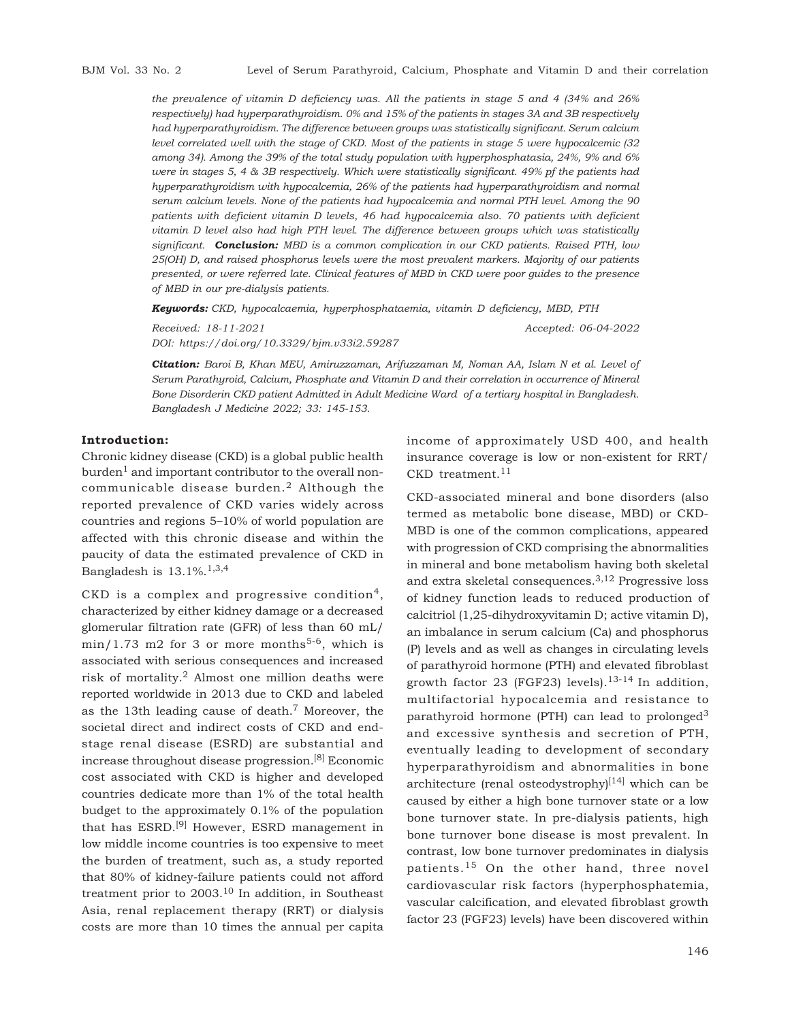*the prevalence of vitamin D deficiency was. All the patients in stage 5 and 4 (34% and 26% respectively) had hyperparathyroidism. 0% and 15% of the patients in stages 3A and 3B respectively had hyperparathyroidism. The difference between groups was statistically significant. Serum calcium level correlated well with the stage of CKD. Most of the patients in stage 5 were hypocalcemic (32 among 34). Among the 39% of the total study population with hyperphosphatasia, 24%, 9% and 6% were in stages 5, 4 & 3B respectively. Which were statistically significant. 49% pf the patients had hyperparathyroidism with hypocalcemia, 26% of the patients had hyperparathyroidism and normal serum calcium levels. None of the patients had hypocalcemia and normal PTH level. Among the 90 patients with deficient vitamin D levels, 46 had hypocalcemia also. 70 patients with deficient vitamin D level also had high PTH level. The difference between groups which was statistically significant. Conclusion: MBD is a common complication in our CKD patients. Raised PTH, low 25(OH) D, and raised phosphorus levels were the most prevalent markers. Majority of our patients presented, or were referred late. Clinical features of MBD in CKD were poor guides to the presence of MBD in our pre-dialysis patients.*

*Keywords: CKD, hypocalcaemia, hyperphosphataemia, vitamin D deficiency, MBD, PTH*

*Received: 18-11-2021 Accepted: 06-04-2022 DOI: https://doi.org/10.3329/bjm.v33i2.59287*

*Citation: Baroi B, Khan MEU, Amiruzzaman, Arifuzzaman M, Noman AA, Islam N et al. Level of Serum Parathyroid, Calcium, Phosphate and Vitamin D and their correlation in occurrence of Mineral Bone Disorderin CKD patient Admitted in Adult Medicine Ward of a tertiary hospital in Bangladesh. Bangladesh J Medicine 2022; 33: 145-153.*

#### **Introduction:**

Chronic kidney disease (CKD) is a global public health  $b$ urden<sup>1</sup> and important contributor to the overall noncommunicable disease burden.2 Although the reported prevalence of CKD varies widely across countries and regions 5–10% of world population are affected with this chronic disease and within the paucity of data the estimated prevalence of CKD in Bangladesh is  $13.1\%$ .<sup>1,3,4</sup>

CKD is a complex and progressive condition<sup>4</sup>, characterized by either kidney damage or a decreased glomerular filtration rate (GFR) of less than 60 mL/  $min/1.73$  m2 for 3 or more months<sup>5-6</sup>, which is associated with serious consequences and increased risk of mortality.2 Almost one million deaths were reported worldwide in 2013 due to CKD and labeled as the 13th leading cause of death.7 Moreover, the societal direct and indirect costs of CKD and endstage renal disease (ESRD) are substantial and increase throughout disease progression.[8] Economic cost associated with CKD is higher and developed countries dedicate more than 1% of the total health budget to the approximately 0.1% of the population that has ESRD.[9] However, ESRD management in low middle income countries is too expensive to meet the burden of treatment, such as, a study reported that 80% of kidney-failure patients could not afford treatment prior to 2003.10 In addition, in Southeast Asia, renal replacement therapy (RRT) or dialysis costs are more than 10 times the annual per capita income of approximately USD 400, and health insurance coverage is low or non-existent for RRT/  $CKD$  treatment.<sup>11</sup>

CKD-associated mineral and bone disorders (also termed as metabolic bone disease, MBD) or CKD-MBD is one of the common complications, appeared with progression of CKD comprising the abnormalities in mineral and bone metabolism having both skeletal and extra skeletal consequences.3,12 Progressive loss of kidney function leads to reduced production of calcitriol (1,25-dihydroxyvitamin D; active vitamin D), an imbalance in serum calcium (Ca) and phosphorus (P) levels and as well as changes in circulating levels of parathyroid hormone (PTH) and elevated fibroblast growth factor 23 (FGF23) levels).<sup>13-14</sup> In addition, multifactorial hypocalcemia and resistance to parathyroid hormone (PTH) can lead to prolonged<sup>3</sup> and excessive synthesis and secretion of PTH, eventually leading to development of secondary hyperparathyroidism and abnormalities in bone architecture (renal osteodystrophy)[14] which can be caused by either a high bone turnover state or a low bone turnover state. In pre-dialysis patients, high bone turnover bone disease is most prevalent. In contrast, low bone turnover predominates in dialysis patients.15 On the other hand, three novel cardiovascular risk factors (hyperphosphatemia, vascular calcification, and elevated fibroblast growth factor 23 (FGF23) levels) have been discovered within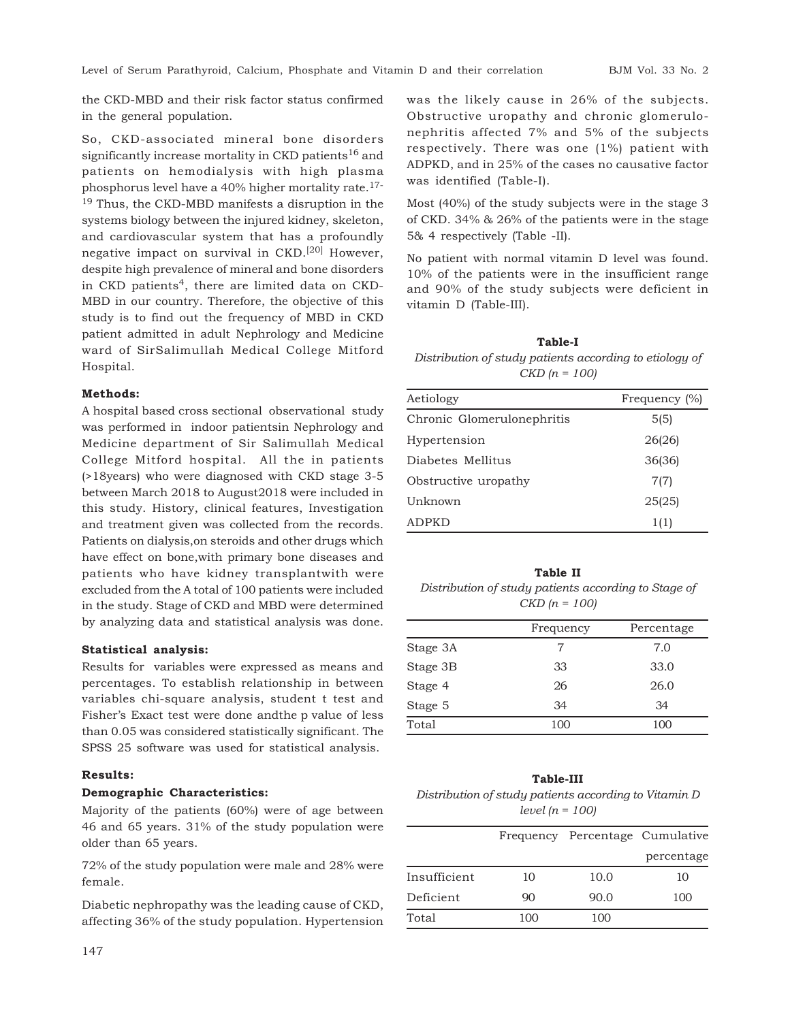the CKD-MBD and their risk factor status confirmed in the general population.

So, CKD-associated mineral bone disorders significantly increase mortality in CKD patients<sup>16</sup> and patients on hemodialysis with high plasma phosphorus level have a 40% higher mortality rate.<sup>17-</sup> <sup>19</sup> Thus, the CKD-MBD manifests a disruption in the systems biology between the injured kidney, skeleton, and cardiovascular system that has a profoundly negative impact on survival in CKD.[20] However, despite high prevalence of mineral and bone disorders in CKD patients<sup>4</sup>, there are limited data on CKD-MBD in our country. Therefore, the objective of this study is to find out the frequency of MBD in CKD patient admitted in adult Nephrology and Medicine ward of SirSalimullah Medical College Mitford Hospital.

#### **Methods:**

A hospital based cross sectional observational study was performed in indoor patientsin Nephrology and Medicine department of Sir Salimullah Medical College Mitford hospital. All the in patients (>18years) who were diagnosed with CKD stage 3-5 between March 2018 to August2018 were included in this study. History, clinical features, Investigation and treatment given was collected from the records. Patients on dialysis,on steroids and other drugs which have effect on bone,with primary bone diseases and patients who have kidney transplantwith were excluded from the A total of 100 patients were included in the study. Stage of CKD and MBD were determined by analyzing data and statistical analysis was done.

#### **Statistical analysis:**

Results for variables were expressed as means and percentages. To establish relationship in between variables chi-square analysis, student t test and Fisher's Exact test were done andthe p value of less than 0.05 was considered statistically significant. The SPSS 25 software was used for statistical analysis.

#### **Results:**

#### **Demographic Characteristics:**

Majority of the patients (60%) were of age between 46 and 65 years. 31% of the study population were older than 65 years.

72% of the study population were male and 28% were female.

Diabetic nephropathy was the leading cause of CKD, affecting 36% of the study population. Hypertension was the likely cause in 26% of the subjects. Obstructive uropathy and chronic glomerulonephritis affected 7% and 5% of the subjects respectively. There was one (1%) patient with ADPKD, and in 25% of the cases no causative factor was identified (Table-I).

Most (40%) of the study subjects were in the stage 3 of CKD. 34% & 26% of the patients were in the stage 5& 4 respectively (Table -II).

No patient with normal vitamin D level was found. 10% of the patients were in the insufficient range and 90% of the study subjects were deficient in vitamin D (Table-III).

**Table-I** *Distribution of study patients according to etiology of CKD (n = 100)*

| Aetiology                  | Frequency $(\%)$ |
|----------------------------|------------------|
| Chronic Glomerulonephritis | 5(5)             |
| Hypertension               | 26(26)           |
| Diabetes Mellitus          | 36(36)           |
| Obstructive uropathy       | 7(7)             |
| Unknown                    | 25(25)           |
| ADPKD                      | 1(1)             |

**Table II** *Distribution of study patients according to Stage of CKD (n = 100)*

|          | Frequency | Percentage |
|----------|-----------|------------|
| Stage 3A | 7         | 7.0        |
| Stage 3B | 33        | 33.0       |
| Stage 4  | 26        | 26.0       |
| Stage 5  | 34        | 34         |
| Total    | 100       | 100        |

## **Table-III** *Distribution of study patients according to Vitamin D level (n = 100)*

|              |     | Frequency Percentage Cumulative |            |
|--------------|-----|---------------------------------|------------|
|              |     |                                 | percentage |
| Insufficient | 10  | 10.0                            | 10         |
| Deficient    | 90  | 90.0                            | 100        |
| Total        | 100 | 100                             |            |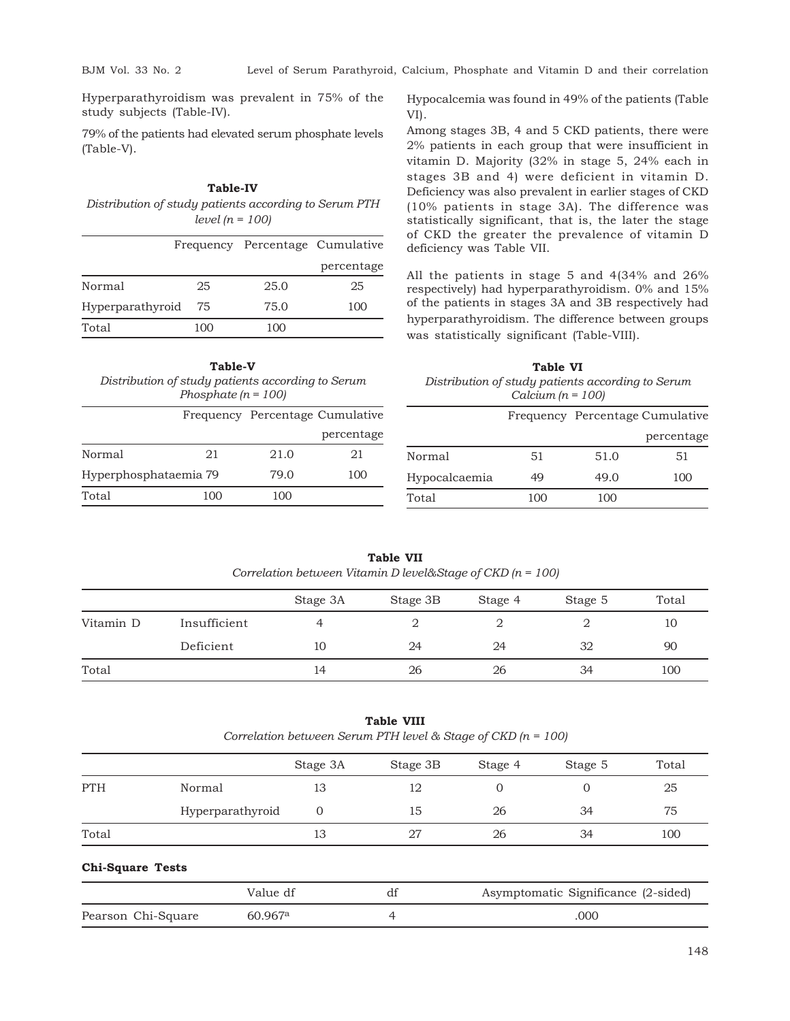BJM Vol. 33 No. 2 Level of Serum Parathyroid, Calcium, Phosphate and Vitamin D and their correlation

Hyperparathyroidism was prevalent in 75% of the study subjects (Table-IV).

79% of the patients had elevated serum phosphate levels (Table-V).

| <b>Table-IV</b>                                       |
|-------------------------------------------------------|
| Distribution of study patients according to Serum PTH |
| level $(n = 100)$                                     |

|                  |     | Frequency Percentage Cumulative |            |  |
|------------------|-----|---------------------------------|------------|--|
|                  |     |                                 | percentage |  |
| Normal           | 25  | 25.0                            | 25         |  |
| Hyperparathyroid | 75  | 75.0                            | 100        |  |
| Total            | 100 | 100                             |            |  |

| <b>Table-V</b>                                    |
|---------------------------------------------------|
| Distribution of study patients according to Serum |
| Phosphate $(n = 100)$                             |

|                       |     |      | Frequency Percentage Cumulative |  |
|-----------------------|-----|------|---------------------------------|--|
|                       |     |      | percentage                      |  |
| Normal                | 21  | 21.0 | 21                              |  |
| Hyperphosphataemia 79 |     | 79.0 | 100                             |  |
| Total                 | 100 | 100  |                                 |  |

Hypocalcemia was found in 49% of the patients (Table VI).

Among stages 3B, 4 and 5 CKD patients, there were 2% patients in each group that were insufficient in vitamin D. Majority (32% in stage 5, 24% each in stages 3B and 4) were deficient in vitamin D. Deficiency was also prevalent in earlier stages of CKD (10% patients in stage 3A). The difference was statistically significant, that is, the later the stage of CKD the greater the prevalence of vitamin D deficiency was Table VII.

All the patients in stage 5 and 4(34% and 26% respectively) had hyperparathyroidism. 0% and 15% of the patients in stages 3A and 3B respectively had hyperparathyroidism. The difference between groups was statistically significant (Table-VIII).

**Table VI** *Distribution of study patients according to Serum Calcium (n = 100)*

|               |     | Frequency Percentage Cumulative |            |
|---------------|-----|---------------------------------|------------|
|               |     |                                 | percentage |
| Normal        | 51  | 51.0                            | 51         |
| Hypocalcaemia | 49  | 49.0                            | 100        |
| Total         | 100 | 100                             |            |

| <b>Table VII</b>                                              |  |
|---------------------------------------------------------------|--|
| Correlation between Vitamin D level& Stage of CKD $(n = 100)$ |  |

|           |              | Stage 3A | Stage 3B | Stage 4 | Stage 5 | Total |
|-----------|--------------|----------|----------|---------|---------|-------|
| Vitamin D | Insufficient |          |          |         |         | 10    |
|           | Deficient    | 10       | 24       | 24      | 32      | 90    |
| Total     |              | 14       | 26       | 26      | 34      | 100   |

**Table VIII**

| Correlation between Serum PTH level & Stage of CKD ( $n = 100$ ) |  |  |  |  |
|------------------------------------------------------------------|--|--|--|--|
|------------------------------------------------------------------|--|--|--|--|

|            |                  | Stage 3A | Stage 3B | Stage 4 | Stage 5 | Total |
|------------|------------------|----------|----------|---------|---------|-------|
| <b>PTH</b> | Normal           | 13       | 12       |         |         | 25    |
|            | Hyperparathyroid |          | 15       | 26      | 34      | 75    |
| Total      |                  | 13       | 27       | 26      | 34      | 100   |

**Chi-Square Tests**

|                    | Value df              | Asymptomatic Significance (2-sided) |
|--------------------|-----------------------|-------------------------------------|
| Pearson Chi-Square | $60.967$ <sup>a</sup> | .000                                |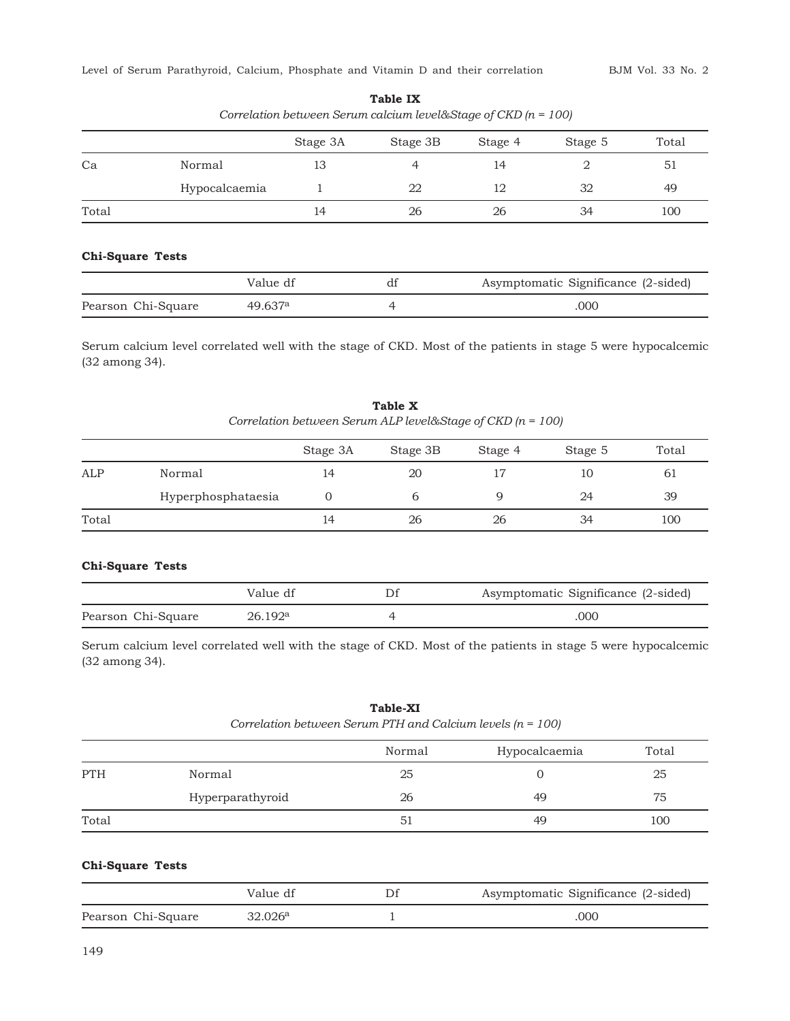|       |               | Stage 3A | Stage 3B | Stage 4 | Stage 5 | Total |
|-------|---------------|----------|----------|---------|---------|-------|
| Ca    | Normal        | 13       |          | 14      |         | 51    |
|       | Hypocalcaemia |          | 22       | 12      | 32      | 49    |
| Total |               | 14       | 26       | 26      | 34      | 100   |

**Table IX** *Correlation between Serum calcium level&Stage of CKD (n = 100)*

## **Chi-Square Tests**

|                    | Value df | Asymptomatic Significance (2-sided) |
|--------------------|----------|-------------------------------------|
| Pearson Chi-Square | 49.637a  | .000                                |

Serum calcium level correlated well with the stage of CKD. Most of the patients in stage 5 were hypocalcemic (32 among 34).

**Table X** *Correlation between Serum ALP level&Stage of CKD (n = 100)*

|       |                    | Stage 3A | Stage 3B | Stage 4 | Stage 5 | Total |
|-------|--------------------|----------|----------|---------|---------|-------|
| ALP   | Normal             | 14       | 20       |         | 10      | 61    |
|       | Hyperphosphataesia |          |          |         | 24      | 39    |
| Total |                    | 14       | 26       | 26      | 34      | 100   |

## **Chi-Square Tests**

|                    | Value df | Asymptomatic Significance (2-sided) |
|--------------------|----------|-------------------------------------|
| Pearson Chi-Square | 26.192ª  | 000                                 |

Serum calcium level correlated well with the stage of CKD. Most of the patients in stage 5 were hypocalcemic (32 among 34).

## **Table-XI** *Correlation between Serum PTH and Calcium levels (n = 100)*

|            |                  | Normal | Hypocalcaemia | Total |
|------------|------------------|--------|---------------|-------|
| <b>PTH</b> | Normal           | 25     |               | 25    |
|            | Hyperparathyroid | 26     | 49            | 75    |
| Total      |                  | 51     | 49            | 100   |

## **Chi-Square Tests**

|                    | Value df | Asymptomatic Significance (2-sided) |
|--------------------|----------|-------------------------------------|
| Pearson Chi-Square | 32.026ª  | 000                                 |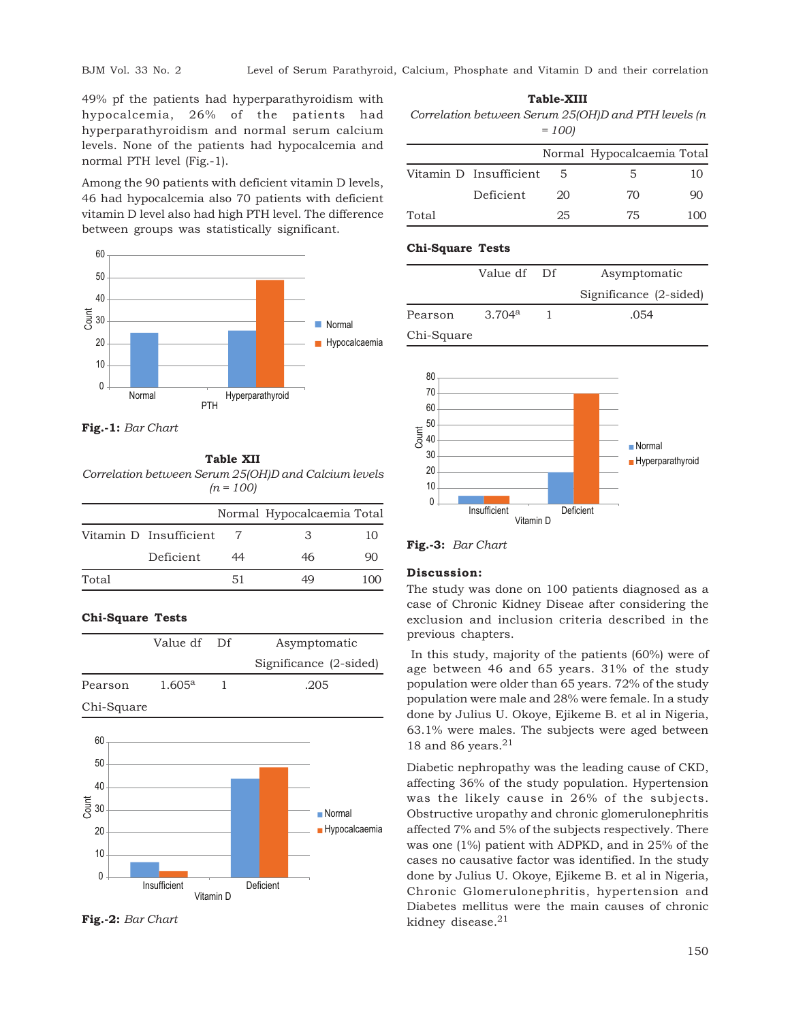49% pf the patients had hyperparathyroidism with hypocalcemia, 26% of the patients had hyperparathyroidism and normal serum calcium levels. None of the patients had hypocalcemia and normal PTH level (Fig.-1).

Among the 90 patients with deficient vitamin D levels, 46 had hypocalcemia also 70 patients with deficient vitamin D level also had high PTH level. The difference between groups was statistically significant.



**Fig.-1:** *Bar Chart*

## **Table XII**

*Correlation between Serum 25(OH)D and Calcium levels (n = 100)*

|       |                        |    | Normal Hypocalcaemia Total |     |
|-------|------------------------|----|----------------------------|-----|
|       | Vitamin D Insufficient |    | З                          | 10  |
|       | Deficient              | 44 | 46                         | QO  |
| Total |                        | 51 | 49                         | 100 |

## **Chi-Square Tests**

|            | Value df Df     | Asymptomatic           |
|------------|-----------------|------------------------|
|            |                 | Significance (2-sided) |
| Pearson    | $1.605^{\rm a}$ | .205                   |
| Chi-Square |                 |                        |



**Fig.-2:** *Bar Chart*

**Table-XIII**

*Correlation between Serum 25(OH)D and PTH levels (n = 100)*

|       |                        |    | Normal Hypocalcaemia Total |     |
|-------|------------------------|----|----------------------------|-----|
|       | Vitamin D Insufficient | 5. | 5.                         | 10  |
|       | Deficient              | 20 | 70                         | 90  |
| Total |                        | 25 | 75                         | 100 |

## **Chi-Square Tests**

|            | Value df Df | Asymptomatic           |
|------------|-------------|------------------------|
|            |             | Significance (2-sided) |
| Pearson    | 3.704a      | .054                   |
| Chi-Square |             |                        |



**Fig.-3:** *Bar Chart*

#### **Discussion:**

The study was done on 100 patients diagnosed as a case of Chronic Kidney Diseae after considering the exclusion and inclusion criteria described in the previous chapters.

 In this study, majority of the patients (60%) were of age between 46 and 65 years. 31% of the study population were older than 65 years. 72% of the study population were male and 28% were female. In a study done by Julius U. Okoye, Ejikeme B. et al in Nigeria, 63.1% were males. The subjects were aged between 18 and 86 years. $21$ 

Diabetic nephropathy was the leading cause of CKD, affecting 36% of the study population. Hypertension was the likely cause in 26% of the subjects. Obstructive uropathy and chronic glomerulonephritis affected 7% and 5% of the subjects respectively. There was one (1%) patient with ADPKD, and in 25% of the cases no causative factor was identified. In the study done by Julius U. Okoye, Ejikeme B. et al in Nigeria, Chronic Glomerulonephritis, hypertension and Diabetes mellitus were the main causes of chronic kidney disease.<sup>21</sup>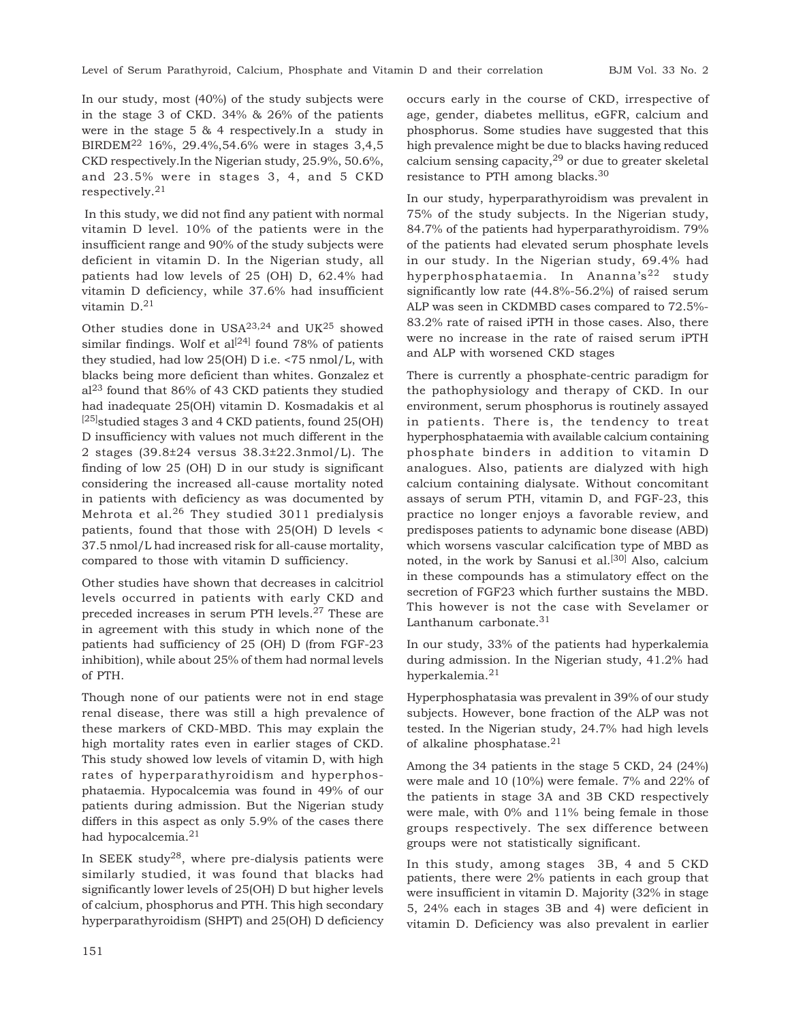In our study, most (40%) of the study subjects were in the stage 3 of CKD. 34% & 26% of the patients were in the stage 5 & 4 respectively.In a study in BIRDEM22 16%, 29.4%,54.6% were in stages 3,4,5 CKD respectively.In the Nigerian study, 25.9%, 50.6%, and 23.5% were in stages 3, 4, and 5 CKD respectively.<sup>21</sup>

 In this study, we did not find any patient with normal vitamin D level. 10% of the patients were in the insufficient range and 90% of the study subjects were deficient in vitamin D. In the Nigerian study, all patients had low levels of 25 (OH) D, 62.4% had vitamin D deficiency, while 37.6% had insufficient vitamin D.<sup>21</sup>

Other studies done in USA23,24 and UK25 showed similar findings. Wolf et al<sup>[24]</sup> found 78% of patients they studied, had low 25(OH) D i.e. <75 nmol/L, with blacks being more deficient than whites. Gonzalez et al23 found that 86% of 43 CKD patients they studied had inadequate 25(OH) vitamin D. Kosmadakis et al  $^{[25]}$ studied stages 3 and 4 CKD patients, found 25(OH) D insufficiency with values not much different in the 2 stages (39.8±24 versus 38.3±22.3nmol/L). The finding of low 25 (OH) D in our study is significant considering the increased all-cause mortality noted in patients with deficiency as was documented by Mehrota et al.<sup>26</sup> They studied 3011 predialysis patients, found that those with 25(OH) D levels < 37.5 nmol/L had increased risk for all-cause mortality, compared to those with vitamin D sufficiency.

Other studies have shown that decreases in calcitriol levels occurred in patients with early CKD and preceded increases in serum PTH levels.27 These are in agreement with this study in which none of the patients had sufficiency of 25 (OH) D (from FGF-23 inhibition), while about 25% of them had normal levels of PTH.

Though none of our patients were not in end stage renal disease, there was still a high prevalence of these markers of CKD-MBD. This may explain the high mortality rates even in earlier stages of CKD. This study showed low levels of vitamin D, with high rates of hyperparathyroidism and hyperphosphataemia. Hypocalcemia was found in 49% of our patients during admission. But the Nigerian study differs in this aspect as only 5.9% of the cases there had hypocalcemia.<sup>21</sup>

In SEEK study<sup>28</sup>, where pre-dialysis patients were similarly studied, it was found that blacks had significantly lower levels of 25(OH) D but higher levels of calcium, phosphorus and PTH. This high secondary hyperparathyroidism (SHPT) and 25(OH) D deficiency

occurs early in the course of CKD, irrespective of age, gender, diabetes mellitus, eGFR, calcium and phosphorus. Some studies have suggested that this high prevalence might be due to blacks having reduced calcium sensing capacity, $29$  or due to greater skeletal resistance to PTH among blacks.<sup>30</sup>

In our study, hyperparathyroidism was prevalent in 75% of the study subjects. In the Nigerian study, 84.7% of the patients had hyperparathyroidism. 79% of the patients had elevated serum phosphate levels in our study. In the Nigerian study, 69.4% had hyperphosphataemia. In Ananna's<sup>22</sup> study significantly low rate (44.8%-56.2%) of raised serum ALP was seen in CKDMBD cases compared to 72.5%- 83.2% rate of raised iPTH in those cases. Also, there were no increase in the rate of raised serum iPTH and ALP with worsened CKD stages

There is currently a phosphate-centric paradigm for the pathophysiology and therapy of CKD. In our environment, serum phosphorus is routinely assayed in patients. There is, the tendency to treat hyperphosphataemia with available calcium containing phosphate binders in addition to vitamin D analogues. Also, patients are dialyzed with high calcium containing dialysate. Without concomitant assays of serum PTH, vitamin D, and FGF-23, this practice no longer enjoys a favorable review, and predisposes patients to adynamic bone disease (ABD) which worsens vascular calcification type of MBD as noted, in the work by Sanusi et al.<sup>[30]</sup> Also, calcium in these compounds has a stimulatory effect on the secretion of FGF23 which further sustains the MBD. This however is not the case with Sevelamer or Lanthanum carbonate.<sup>31</sup>

In our study, 33% of the patients had hyperkalemia during admission. In the Nigerian study, 41.2% had hyperkalemia.<sup>21</sup>

Hyperphosphatasia was prevalent in 39% of our study subjects. However, bone fraction of the ALP was not tested. In the Nigerian study, 24.7% had high levels of alkaline phosphatase.<sup>21</sup>

Among the 34 patients in the stage 5 CKD, 24 (24%) were male and 10 (10%) were female. 7% and 22% of the patients in stage 3A and 3B CKD respectively were male, with 0% and 11% being female in those groups respectively. The sex difference between groups were not statistically significant.

In this study, among stages 3B, 4 and 5 CKD patients, there were 2% patients in each group that were insufficient in vitamin D. Majority (32% in stage 5, 24% each in stages 3B and 4) were deficient in vitamin D. Deficiency was also prevalent in earlier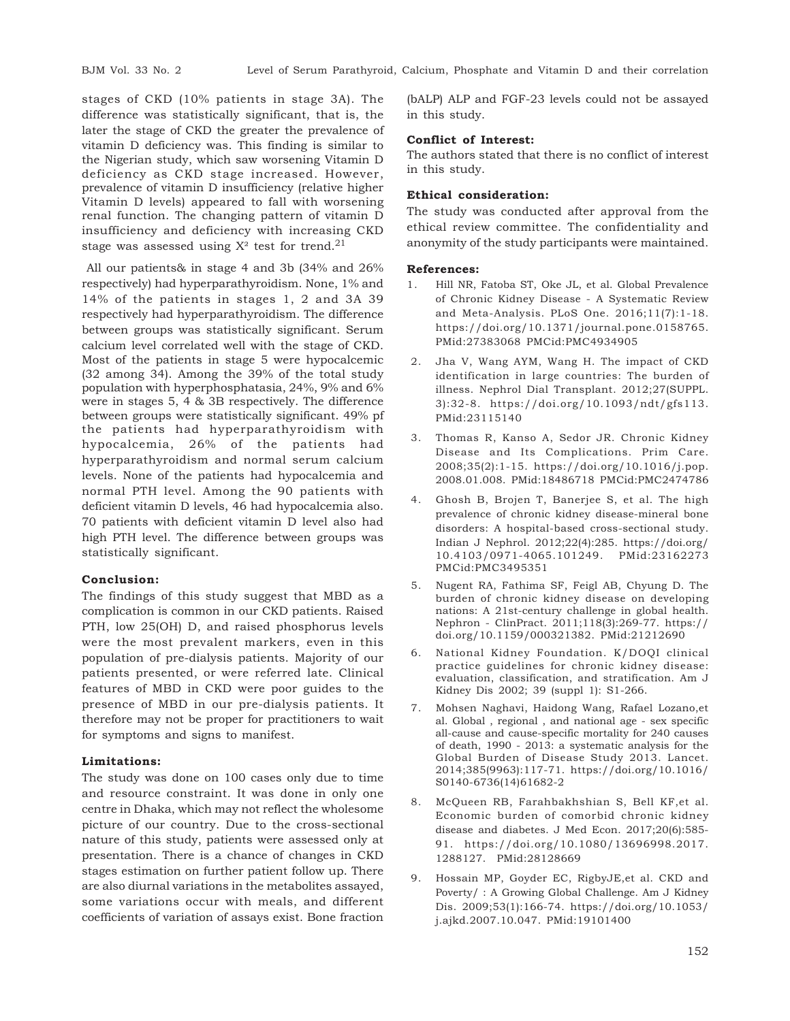stages of CKD (10% patients in stage 3A). The difference was statistically significant, that is, the later the stage of CKD the greater the prevalence of vitamin D deficiency was. This finding is similar to the Nigerian study, which saw worsening Vitamin D deficiency as CKD stage increased. However, prevalence of vitamin D insufficiency (relative higher Vitamin D levels) appeared to fall with worsening renal function. The changing pattern of vitamin D insufficiency and deficiency with increasing CKD stage was assessed using  $X^2$  test for trend.<sup>21</sup>

 All our patients& in stage 4 and 3b (34% and 26% respectively) had hyperparathyroidism. None, 1% and 14% of the patients in stages 1, 2 and 3A 39 respectively had hyperparathyroidism. The difference between groups was statistically significant. Serum calcium level correlated well with the stage of CKD. Most of the patients in stage 5 were hypocalcemic (32 among 34). Among the 39% of the total study population with hyperphosphatasia, 24%, 9% and 6% were in stages 5, 4 & 3B respectively. The difference between groups were statistically significant. 49% pf the patients had hyperparathyroidism with hypocalcemia, 26% of the patients had hyperparathyroidism and normal serum calcium levels. None of the patients had hypocalcemia and normal PTH level. Among the 90 patients with deficient vitamin D levels, 46 had hypocalcemia also. 70 patients with deficient vitamin D level also had high PTH level. The difference between groups was statistically significant.

## **Conclusion:**

The findings of this study suggest that MBD as a complication is common in our CKD patients. Raised PTH, low 25(OH) D, and raised phosphorus levels were the most prevalent markers, even in this population of pre-dialysis patients. Majority of our patients presented, or were referred late. Clinical features of MBD in CKD were poor guides to the presence of MBD in our pre-dialysis patients. It therefore may not be proper for practitioners to wait for symptoms and signs to manifest.

#### **Limitations:**

The study was done on 100 cases only due to time and resource constraint. It was done in only one centre in Dhaka, which may not reflect the wholesome picture of our country. Due to the cross-sectional nature of this study, patients were assessed only at presentation. There is a chance of changes in CKD stages estimation on further patient follow up. There are also diurnal variations in the metabolites assayed, some variations occur with meals, and different coefficients of variation of assays exist. Bone fraction

(bALP) ALP and FGF-23 levels could not be assayed in this study.

#### **Conflict of Interest:**

The authors stated that there is no conflict of interest in this study.

## **Ethical consideration:**

The study was conducted after approval from the ethical review committee. The confidentiality and anonymity of the study participants were maintained.

#### **References:**

- 1. Hill NR, Fatoba ST, Oke JL, et al. Global Prevalence of Chronic Kidney Disease - A Systematic Review and Meta-Analysis. PLoS One. 2016;11(7):1-18. https://doi.org/10.1371/journal.pone.0158765. PMid:27383068 PMCid:PMC4934905
- 2. Jha V, Wang AYM, Wang H. The impact of CKD identification in large countries: The burden of illness. Nephrol Dial Transplant. 2012;27(SUPPL. 3):32-8. https://doi.org/10.1093/ndt/gfs113. PMid:23115140
- 3. Thomas R, Kanso A, Sedor JR. Chronic Kidney Disease and Its Complications. Prim Care. 2008;35(2):1-15. https://doi.org/10.1016/j.pop. 2008.01.008. PMid:18486718 PMCid:PMC2474786
- 4. Ghosh B, Brojen T, Banerjee S, et al. The high prevalence of chronic kidney disease-mineral bone disorders: A hospital-based cross-sectional study. Indian J Nephrol. 2012;22(4):285. https://doi.org/ 10.4103/0971-4065.101249. PMid:23162273 PMCid:PMC3495351
- 5. Nugent RA, Fathima SF, Feigl AB, Chyung D. The burden of chronic kidney disease on developing nations: A 21st-century challenge in global health. Nephron - ClinPract. 2011;118(3):269-77. https:// doi.org/10.1159/000321382. PMid:21212690
- 6. National Kidney Foundation. K/DOQI clinical practice guidelines for chronic kidney disease: evaluation, classification, and stratification. Am J Kidney Dis 2002; 39 (suppl 1): S1-266.
- 7. Mohsen Naghavi, Haidong Wang, Rafael Lozano,et al. Global , regional , and national age - sex specific all-cause and cause-specific mortality for 240 causes of death, 1990 - 2013: a systematic analysis for the Global Burden of Disease Study 2013. Lancet. 2014;385(9963):117-71. https://doi.org/10.1016/ S0140-6736(14)61682-2
- 8. McQueen RB, Farahbakhshian S, Bell KF,et al. Economic burden of comorbid chronic kidney disease and diabetes. J Med Econ. 2017;20(6):585- 91. https://doi.org/10.1080/13696998.2017. 1288127. PMid:28128669
- 9. Hossain MP, Goyder EC, RigbyJE,et al. CKD and Poverty/ : A Growing Global Challenge. Am J Kidney Dis. 2009;53(1):166-74. https://doi.org/10.1053/ j.ajkd.2007.10.047. PMid:19101400